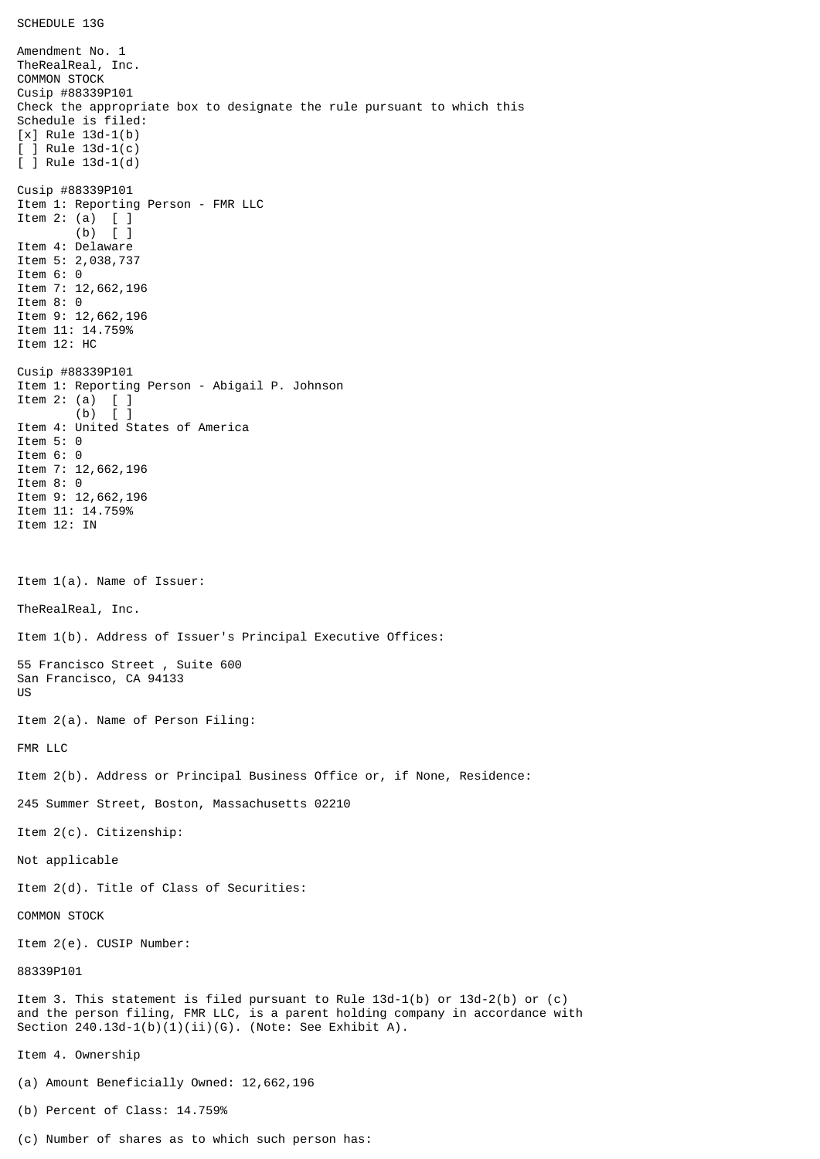Amendment No. 1 TheRealReal, Inc. COMMON STOCK Cusip #88339P101 Check the appropriate box to designate the rule pursuant to which this Schedule is filed: [x] Rule 13d-1(b)  $\lceil$   $\rceil$  Rule 13d-1(c) [ ] Rule 13d-1(d) Cusip #88339P101 Item 1: Reporting Person - FMR LLC Item 2: (a)  $[ ]$ <br>(b)  $[ ]$  $\lceil$   $\rceil$ Item 4: Delaware Item 5: 2,038,737 Item 6: 0 Item 7: 12,662,196 Item 8: 0 Item 9: 12,662,196 Item 11: 14.759% Item 12: HC Cusip #88339P101 Item 1: Reporting Person - Abigail P. Johnson Item 2: (a)  $[$   $]$ <br>(b)  $[$   $]$  $(b)$ Item 4: United States of America Item 5: 0 Item 6: 0 Item 7: 12,662,196 Item 8: 0 Item 9: 12,662,196 Item 11: 14.759% Item 12: IN Item 1(a). Name of Issuer: TheRealReal, Inc. Item 1(b). Address of Issuer's Principal Executive Offices: 55 Francisco Street , Suite 600 San Francisco, CA 94133 US Item 2(a). Name of Person Filing: FMR LLC Item 2(b). Address or Principal Business Office or, if None, Residence: 245 Summer Street, Boston, Massachusetts 02210 Item 2(c). Citizenship: Not applicable Item 2(d). Title of Class of Securities: COMMON STOCK Item 2(e). CUSIP Number: 88339P101 Item 3. This statement is filed pursuant to Rule 13d-1(b) or 13d-2(b) or (c) and the person filing, FMR LLC, is a parent holding company in accordance with Section  $240.13d-1(b)(1)(ii)(G)$ . (Note: See Exhibit A). Item 4. Ownership (a) Amount Beneficially Owned: 12,662,196 (b) Percent of Class: 14.759%

(c) Number of shares as to which such person has: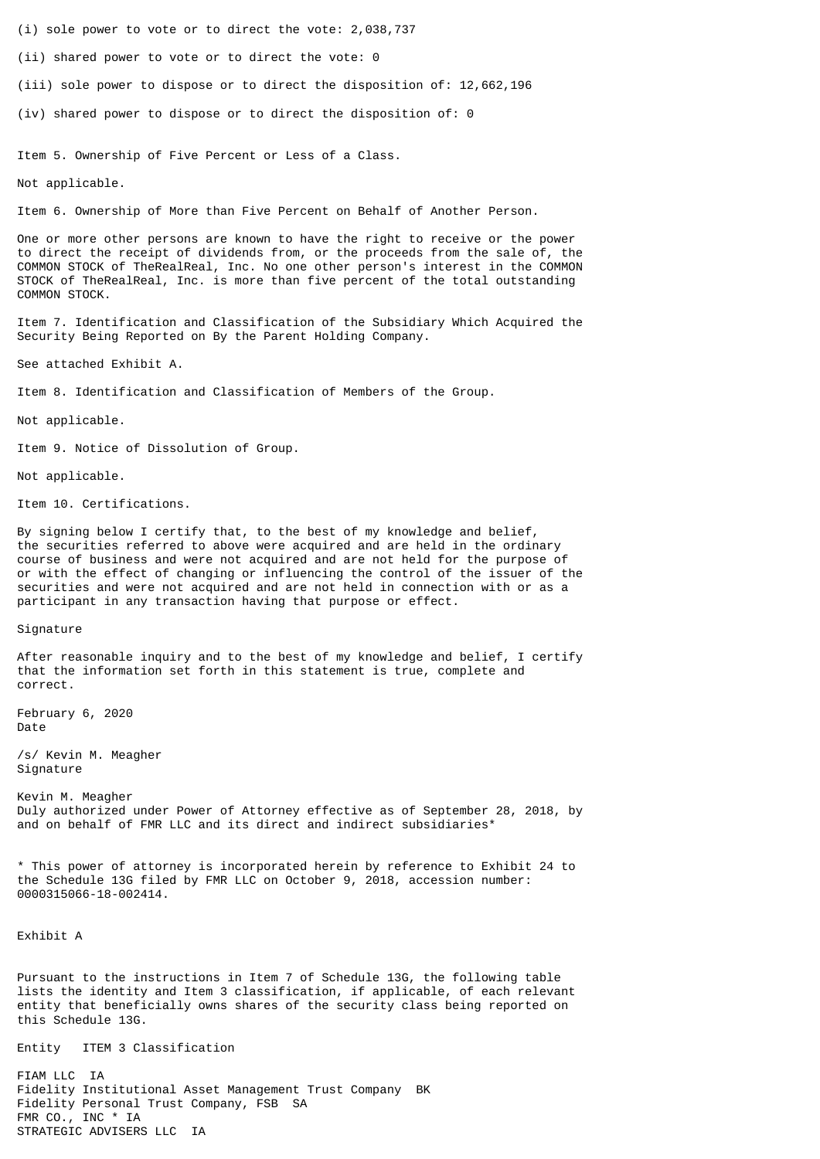- (i) sole power to vote or to direct the vote: 2,038,737
- (ii) shared power to vote or to direct the vote: 0
- (iii) sole power to dispose or to direct the disposition of: 12,662,196
- (iv) shared power to dispose or to direct the disposition of: 0

Item 5. Ownership of Five Percent or Less of a Class.

Not applicable.

Item 6. Ownership of More than Five Percent on Behalf of Another Person.

One or more other persons are known to have the right to receive or the power to direct the receipt of dividends from, or the proceeds from the sale of, the COMMON STOCK of TheRealReal, Inc. No one other person's interest in the COMMON STOCK of TheRealReal, Inc. is more than five percent of the total outstanding COMMON STOCK.

Item 7. Identification and Classification of the Subsidiary Which Acquired the Security Being Reported on By the Parent Holding Company.

See attached Exhibit A.

Item 8. Identification and Classification of Members of the Group.

Not applicable.

Item 9. Notice of Dissolution of Group.

Not applicable.

Item 10. Certifications.

By signing below I certify that, to the best of my knowledge and belief, the securities referred to above were acquired and are held in the ordinary course of business and were not acquired and are not held for the purpose of or with the effect of changing or influencing the control of the issuer of the securities and were not acquired and are not held in connection with or as a participant in any transaction having that purpose or effect.

## Signature

After reasonable inquiry and to the best of my knowledge and belief, I certify that the information set forth in this statement is true, complete and correct.

February 6, 2020 Date

/s/ Kevin M. Meagher Signature

Kevin M. Meagher Duly authorized under Power of Attorney effective as of September 28, 2018, by and on behalf of FMR LLC and its direct and indirect subsidiaries\*

\* This power of attorney is incorporated herein by reference to Exhibit 24 to the Schedule 13G filed by FMR LLC on October 9, 2018, accession number: 0000315066-18-002414.

Exhibit A

Pursuant to the instructions in Item 7 of Schedule 13G, the following table lists the identity and Item 3 classification, if applicable, of each relevant entity that beneficially owns shares of the security class being reported on this Schedule 13G.

Entity ITEM 3 Classification

FIAM LLC IA Fidelity Institutional Asset Management Trust Company BK Fidelity Personal Trust Company, FSB SA FMR CO., INC \* IA STRATEGIC ADVISERS LLC IA